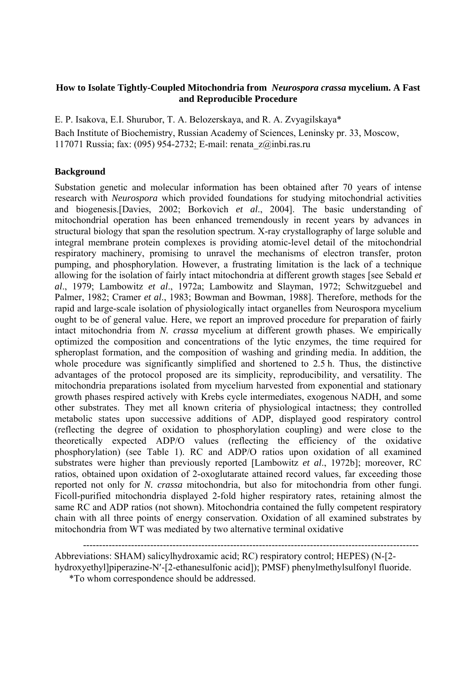## **How to Isolate Tightly-Coupled Mitochondria from** *Neurospora crassa* **mycelium. A Fast and Reproducible Procedure**

E. P. Isakova, E.I. Shurubor, T. A. Belozerskaya, and R. A. Zvyagilskaya\* Bach Institute of Biochemistry, Russian Academy of Sciences, Leninsky pr. 33, Moscow, 117071 Russia; fax: (095) 954-2732; E-mail: renata\_z@inbi.ras.ru

## **Background**

Substation genetic and molecular information has been obtained after 70 years of intense research with *Neurospora* which provided foundations for studying mitochondrial activities and biogenesis.[Davies, 2002; Borkovich *et al*., 2004]. The basic understanding of mitochondrial operation has been enhanced tremendously in recent years by advances in structural biology that span the resolution spectrum. X-ray crystallography of large soluble and integral membrane protein complexes is providing atomic-level detail of the mitochondrial respiratory machinery, promising to unravel the mechanisms of electron transfer, proton pumping, and phosphorylation. However, a frustrating limitation is the lack of a technique allowing for the isolation of fairly intact mitochondria at different growth stages [see Sebald *et al*., 1979; Lambowitz *et al*., 1972a; Lambowitz and Slayman, 1972; Schwitzguebel and Palmer, 1982; Cramer *et al*., 1983; Bowman and Bowman, 1988]. Therefore, methods for the rapid and large-scale isolation of physiologically intact organelles from Neurospora mycelium ought to be of general value. Here, we report an improved procedure for preparation of fairly intact mitochondria from *N. crassa* mycelium at different growth phases. We empirically optimized the composition and concentrations of the lytic enzymes, the time required for spheroplast formation, and the composition of washing and grinding media. In addition, the whole procedure was significantly simplified and shortened to 2.5 h. Thus, the distinctive advantages of the protocol proposed are its simplicity, reproducibility, and versatility. The mitochondria preparations isolated from mycelium harvested from exponential and stationary growth phases respired actively with Krebs cycle intermediates, exogenous NADH, and some other substrates. They met all known criteria of physiological intactness; they controlled metabolic states upon successive additions of ADP, displayed good respiratory control (reflecting the degree of oxidation to phosphorylation coupling) and were close to the theoretically expected ADP/O values (reflecting the efficiency of the oxidative phosphorylation) (see Table 1). RC and ADP/O ratios upon oxidation of all examined substrates were higher than previously reported [Lambowitz *et al*., 1972b]; moreover, RC ratios, obtained upon oxidation of 2-oxoglutarate attained record values, far exceeding those reported not only for *N. crassa* mitochondria, but also for mitochondria from other fungi. Ficoll-purified mitochondria displayed 2-fold higher respiratory rates, retaining almost the same RC and ADP ratios (not shown). Mitochondria contained the fully competent respiratory chain with all three points of energy conservation. Oxidation of all examined substrates by mitochondria from WT was mediated by two alternative terminal oxidative

--------------------------------------------------------------------------------------------------------- Abbreviations: SHAM) salicylhydroxamic acid; RC) respiratory control; HEPES) (N-[2 hydroxyethyl]piperazine-N'-[2-ethanesulfonic acid]); PMSF) phenylmethylsulfonyl fluoride.

\*To whom correspondence should be addressed.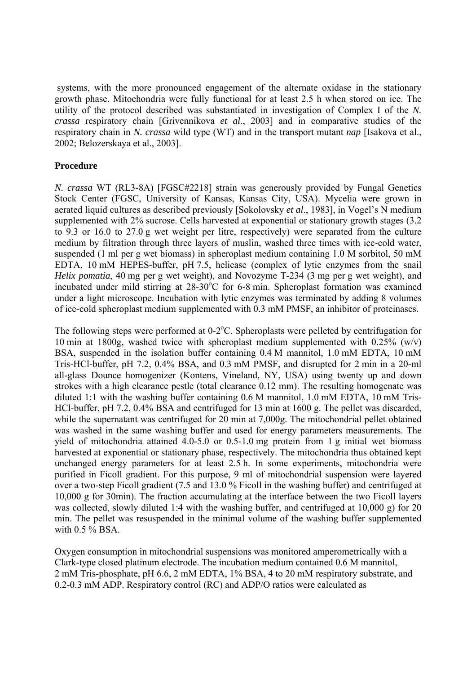systems, with the more pronounced engagement of the alternate oxidase in the stationary growth phase. Mitochondria were fully functional for at least 2.5 h when stored on ice. The utility of the protocol described was substantiated in investigation of Complex I of the *N. crassa* respiratory chain [Grivennikova *et al*., 2003] and in comparative studies of the respiratory chain in *N. crassa* wild type (WT) and in the transport mutant *nap* [Isakova et al., 2002; Belozerskaya et al., 2003].

## **Procedure**

*N. crassa* WT (RL3-8A) [FGSC#2218] strain was generously provided by Fungal Genetics Stock Center (FGSC, University of Kansas, Kansas City, USA). Mycelia were grown in aerated liquid cultures as described previously [Sokolovsky *et al*., 1983], in Vogel's N medium supplemented with 2% sucrose. Cells harvested at exponential or stationary growth stages (3.2 to 9.3 or 16.0 to 27.0 g wet weight per litre, respectively) were separated from the culture medium by filtration through three layers of muslin, washed three times with ice-cold water, suspended (1 ml per g wet biomass) in spheroplast medium containing 1.0 M sorbitol, 50 mM EDTA, 10 mM HEPES-buffer, pH 7.5, helicase (complex of lytic enzymes from the snail *Helix pomatia*, 40 mg per g wet weight), and Novozyme T-234 (3 mg per g wet weight), and incubated under mild stirring at 28-30°C for 6-8 min. Spheroplast formation was examined under a light microscope. Incubation with lytic enzymes was terminated by adding 8 volumes of ice-cold spheroplast medium supplemented with 0.3 mM PMSF, an inhibitor of proteinases.

The following steps were performed at  $0-2$ °C. Spheroplasts were pelleted by centrifugation for 10 min at 1800g, washed twice with spheroplast medium supplemented with 0.25% (w/v) BSA, suspended in the isolation buffer containing 0.4 M mannitol, 1.0 mM EDTA, 10 mM Tris-HCl-buffer, pH 7.2, 0.4% BSA, and 0.3 mM PMSF, and disrupted for 2 min in a 20-ml all-glass Dounce homogenizer (Kontens, Vineland, NY, USA) using twenty up and down strokes with a high clearance pestle (total clearance 0.12 mm). The resulting homogenate was diluted 1:1 with the washing buffer containing 0.6 M mannitol, 1.0 mM EDTA, 10 mM Tris-HCl-buffer, pH 7.2, 0.4% BSA and centrifuged for 13 min at 1600 g. The pellet was discarded, while the supernatant was centrifuged for 20 min at 7,000g. The mitochondrial pellet obtained was washed in the same washing buffer and used for energy parameters measurements. The yield of mitochondria attained 4.0-5.0 or 0.5-1.0 mg protein from 1 g initial wet biomass harvested at exponential or stationary phase, respectively. The mitochondria thus obtained kept unchanged energy parameters for at least 2.5 h. In some experiments, mitochondria were purified in Ficoll gradient. For this purpose, 9 ml of mitochondrial suspension were layered over a two-step Ficoll gradient (7.5 and 13.0 % Ficoll in the washing buffer) and centrifuged at 10,000 g for 30min). The fraction accumulating at the interface between the two Ficoll layers was collected, slowly diluted 1:4 with the washing buffer, and centrifuged at 10,000 g) for 20 min. The pellet was resuspended in the minimal volume of the washing buffer supplemented with  $0.5\%$  BSA.

Oxygen consumption in mitochondrial suspensions was monitored amperometrically with a Clark-type closed platinum electrode. The incubation medium contained 0.6 M mannitol, 2 mM Tris-phosphate, pH 6.6, 2 mM EDTA, 1% BSA, 4 to 20 mM respiratory substrate, and 0.2-0.3 mM ADP. Respiratory control (RC) and ADP/O ratios were calculated as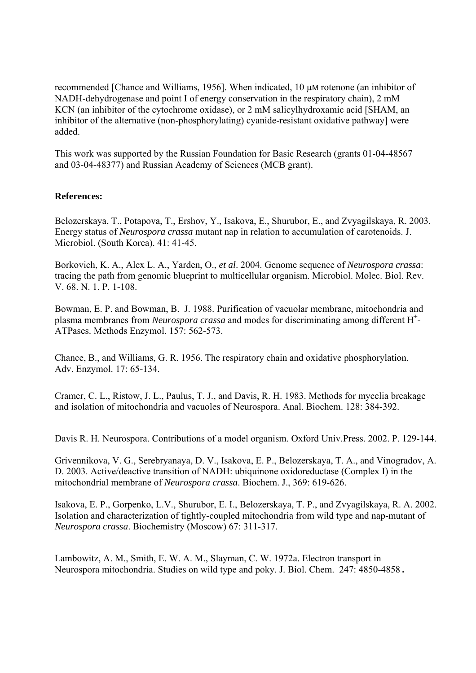recommended [Chance and Williams, 1956]. When indicated, 10 µM rotenone (an inhibitor of NADH-dehydrogenase and point I of energy conservation in the respiratory chain), 2 mM KCN (an inhibitor of the cytochrome oxidase), or 2 mM salicylhydroxamic acid [SHAM, an inhibitor of the alternative (non-phosphorylating) cyanide-resistant oxidative pathway] were added.

This work was supported by the Russian Foundation for Basic Research (grants 01-04-48567 and 03-04-48377) and Russian Academy of Sciences (MCB grant).

## **References:**

Belozerskaya, T., Potapova, T., Ershov, Y., Isakova, E., Shurubor, E., and Zvyagilskaya, R. 2003. Energy status of *Neurospora crassa* mutant nap in relation to accumulation of carotenoids. J. Microbiol. (South Korea). 41: 41-45.

Borkovich, K. A., Alex L. A., Yarden, O., *et al*. 2004. Genome sequence of *Neurospora crassa*: tracing the path from genomic blueprint to multicellular organism. Microbiol. Molec. Biol. Rev. V. 68. N. 1. P. 1-108.

Bowman, E. P. and Bowman, B. J. 1988. Purification of vacuolar membrane, mitochondria and plasma membranes from *Neurospora crassa* and modes for discriminating among different H+ - ATPases. Methods Enzymol. 157: 562-573.

Chance, B., and Williams, G. R. 1956. The respiratory chain and oxidative phosphorylation. Adv. Enzymol. 17: 65-134.

Cramer, C. L., Ristow, J. L., Paulus, T. J., and Davis, R. H. 1983. Methods for mycelia breakage and isolation of mitochondria and vacuoles of Neurospora. Anal. Biochem. 128: 384-392.

Davis R. H. Neurospora. Contributions of a model organism. Oxford Univ.Press. 2002. P. 129-144.

Grivennikova, V. G., Serebryanaya, D. V., Isakova, E. P., Belozerskaya, T. A., and Vinogradov, A. D. 2003. Active/deactive transition of NADH: ubiquinone oxidoreductase (Complex I) in the mitochondrial membrane of *Neurospora crassa*. Biochem. J., 369: 619-626.

Isakova, E. P., Gorpenko, L.V., Shurubor, E. I., Belozerskaya, T. P., and Zvyagilskaya, R. A. 2002. Isolation and characterization of tightly-coupled mitochondria from wild type and nap-mutant of *Neurospora crassa*. Biochemistry (Moscow) 67: 311-317.

Lambowitz, A. M., Smith, E. W. A. M., Slayman, C. W. 1972a. Electron transport in Neurospora mitochondria. Studies on wild type and poky. J. Biol. Chem. 247: 4850-4858.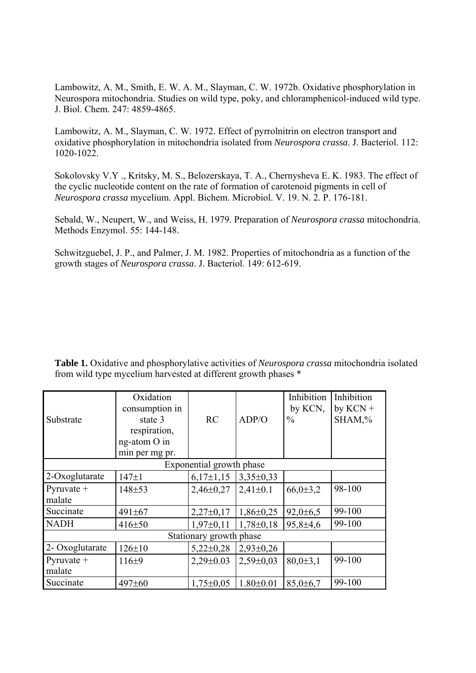Lambowitz, A. M., Smith, E. W. A. M., Slayman, C. W. 1972b. Oxidative phosphorylation in Neurospora mitochondria. Studies on wild type, poky, and chloramphenicol-induced wild type. J. Biol. Chem. 247: 4859-4865.

Lambowitz, A. M., Slayman, C. W. 1972. Effect of pyrrolnitrin on electron transport and oxidative phosphorylation in mitochondria isolated from *Neurospora crassa*. J. Bacteriol. 112: 1020-1022.

Sokolovsky V.Y ., Kritsky, M. S., Belozerskaya, T. A., Chernysheva E. K. 1983. The effect of the cyclic nucleotide content on the rate of formation of carotenoid pigments in cell of *Neurospora crassa* mycelium. Appl. Bichem. Microbiol. V. 19. N. 2. P. 176-181.

Sebald, W., Neupert, W., and Weiss, H. 1979. Preparation of *Neurospora crassa* mitochondria. Methods Enzymol. 55: 144-148.

Schwitzguebel, J. P., and Palmer, J. M. 1982. Properties of mitochondria as a function of the growth stages of *Neurospora crassa*. J. Bacteriol. 149: 612-619.

| Substrate                | Oxidation<br>consumption in<br>state 3<br>respiration,<br>ng-atom O in<br>min per mg pr. | RC              | ADP/O           | Inhibition<br>by KCN,<br>$\frac{0}{0}$ | Inhibition<br>by $KCN +$<br>SHAM,% |  |  |  |
|--------------------------|------------------------------------------------------------------------------------------|-----------------|-----------------|----------------------------------------|------------------------------------|--|--|--|
| Exponential growth phase |                                                                                          |                 |                 |                                        |                                    |  |  |  |
| 2-Oxoglutarate           | $147 \pm 1$                                                                              | $6,17\pm1,15$   | $3,35\pm0,33$   |                                        |                                    |  |  |  |
| $Pyruvate +$             | 148±53                                                                                   | $2,46\pm0,27$   | $2,41\pm0.1$    | $66,0{\pm}3,2$                         | 98-100                             |  |  |  |
| malate                   |                                                                                          |                 |                 |                                        |                                    |  |  |  |
| Succinate                | $491 \pm 67$                                                                             | $2,27\pm0,17$   | $1,86\pm0,25$   | $92,0 \pm 6,5$                         | 99-100                             |  |  |  |
| <b>NADH</b>              | 416±50                                                                                   | $1,97\pm0,11$   | $1,78\pm0,18$   | $95,8 \pm 4,6$                         | 99-100                             |  |  |  |
| Stationary growth phase  |                                                                                          |                 |                 |                                        |                                    |  |  |  |
| 2- Oxoglutarate          | $126 \pm 10$                                                                             | $5,22\pm0,28$   | $2,93\pm0,26$   |                                        |                                    |  |  |  |
| $Pyruvate +$             | $116+9$                                                                                  | $2,29\pm0.03$   | $2,59\pm0.03$   | $80,0{\pm}3,1$                         | 99-100                             |  |  |  |
| malate                   |                                                                                          |                 |                 |                                        |                                    |  |  |  |
| Succinate                | 497±60                                                                                   | $1,75 \pm 0.05$ | $1.80 \pm 0.01$ | $85,0{\pm}6,7$                         | 99-100                             |  |  |  |

**Table 1.** Oxidative and phosphorylative activities of *Neurospora crassa* mitochondria isolated from wild type mycelium harvested at different growth phases \*